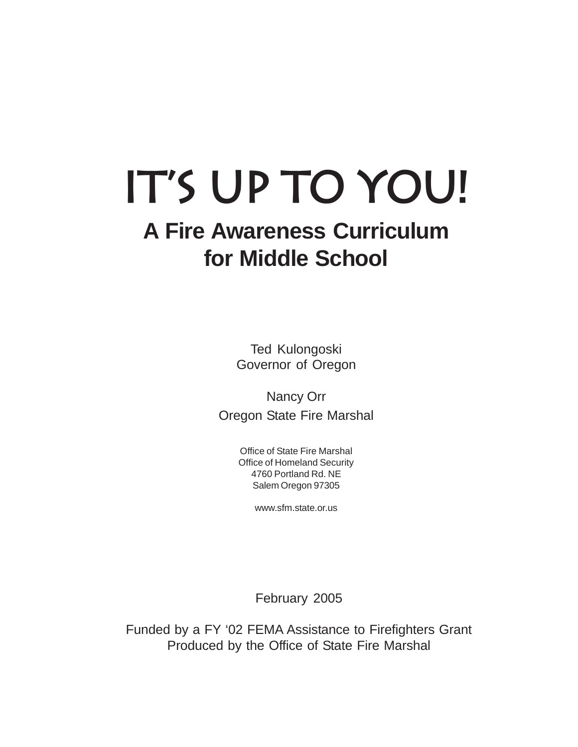# **It's Up to You!**

# **A Fire Awareness Curriculum for Middle School**

Ted Kulongoski Governor of Oregon

Nancy Orr Oregon State Fire Marshal

> Office of State Fire Marshal Office of Homeland Security 4760 Portland Rd. NE Salem Oregon 97305

> > www.sfm.state.or.us

February 2005

Funded by a FY '02 FEMA Assistance to Firefighters Grant Produced by the Office of State Fire Marshal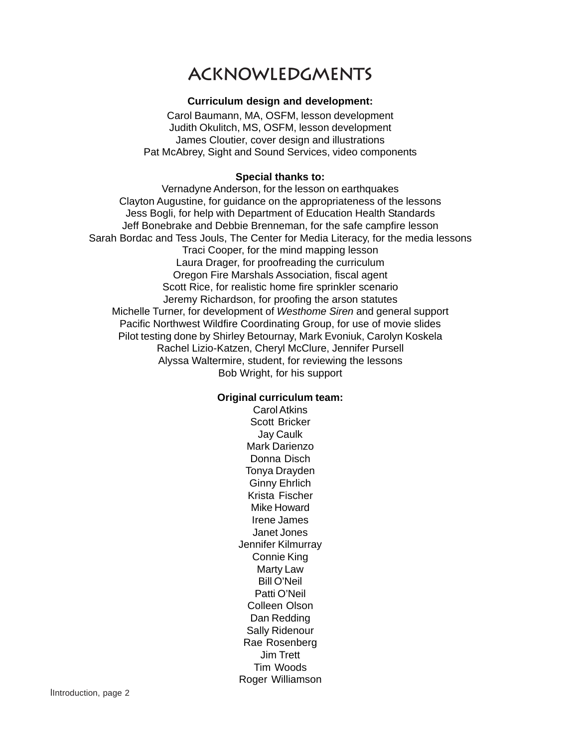### **Acknowledgments**

#### **Curriculum design and development:**

Carol Baumann, MA, OSFM, lesson development Judith Okulitch, MS, OSFM, lesson development James Cloutier, cover design and illustrations Pat McAbrey, Sight and Sound Services, video components

#### **Special thanks to:**

Vernadyne Anderson, for the lesson on earthquakes Clayton Augustine, for guidance on the appropriateness of the lessons Jess Bogli, for help with Department of Education Health Standards Jeff Bonebrake and Debbie Brenneman, for the safe campfire lesson Sarah Bordac and Tess Jouls, The Center for Media Literacy, for the media lessons Traci Cooper, for the mind mapping lesson Laura Drager, for proofreading the curriculum Oregon Fire Marshals Association, fiscal agent Scott Rice, for realistic home fire sprinkler scenario Jeremy Richardson, for proofing the arson statutes Michelle Turner, for development of *Westhome Siren* and general support Pacific Northwest Wildfire Coordinating Group, for use of movie slides Pilot testing done by Shirley Betournay, Mark Evoniuk, Carolyn Koskela Rachel Lizio-Katzen, Cheryl McClure, Jennifer Pursell Alyssa Waltermire, student, for reviewing the lessons Bob Wright, for his support

#### **Original curriculum team:**

Carol Atkins Scott Bricker Jay Caulk Mark Darienzo Donna Disch Tonya Drayden Ginny Ehrlich Krista Fischer Mike Howard Irene James Janet Jones Jennifer Kilmurray Connie King Marty Law Bill O'Neil Patti O'Neil Colleen Olson Dan Redding Sally Ridenour Rae Rosenberg Jim Trett Tim Woods Roger Williamson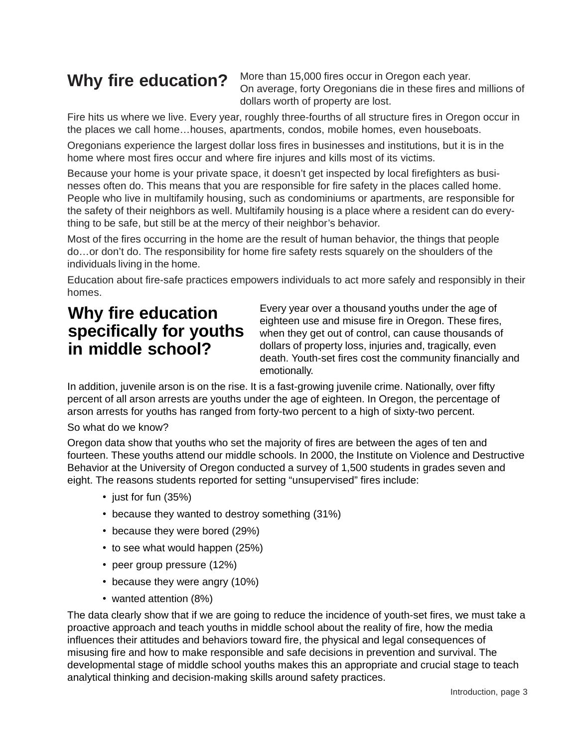### **Why fire education?**

More than 15,000 fires occur in Oregon each year. On average, forty Oregonians die in these fires and millions of dollars worth of property are lost.

Fire hits us where we live. Every year, roughly three-fourths of all structure fires in Oregon occur in the places we call home…houses, apartments, condos, mobile homes, even houseboats.

Oregonians experience the largest dollar loss fires in businesses and institutions, but it is in the home where most fires occur and where fire injures and kills most of its victims.

Because your home is your private space, it doesn't get inspected by local firefighters as businesses often do. This means that you are responsible for fire safety in the places called home. People who live in multifamily housing, such as condominiums or apartments, are responsible for the safety of their neighbors as well. Multifamily housing is a place where a resident can do everything to be safe, but still be at the mercy of their neighbor's behavior.

Most of the fires occurring in the home are the result of human behavior, the things that people do…or don't do. The responsibility for home fire safety rests squarely on the shoulders of the individuals living in the home.

Education about fire-safe practices empowers individuals to act more safely and responsibly in their homes.

### **Why fire education specifically for youths in middle school?**

Every year over a thousand youths under the age of eighteen use and misuse fire in Oregon. These fires, when they get out of control, can cause thousands of dollars of property loss, injuries and, tragically, even death. Youth-set fires cost the community financially and emotionally.

In addition, juvenile arson is on the rise. It is a fast-growing juvenile crime. Nationally, over fifty percent of all arson arrests are youths under the age of eighteen. In Oregon, the percentage of arson arrests for youths has ranged from forty-two percent to a high of sixty-two percent.

#### So what do we know?

Oregon data show that youths who set the majority of fires are between the ages of ten and fourteen. These youths attend our middle schools. In 2000, the Institute on Violence and Destructive Behavior at the University of Oregon conducted a survey of 1,500 students in grades seven and eight. The reasons students reported for setting "unsupervised" fires include:

- just for fun (35%)
- because they wanted to destroy something (31%)
- because they were bored (29%)
- to see what would happen (25%)
- peer group pressure (12%)
- because they were angry (10%)
- wanted attention (8%)

The data clearly show that if we are going to reduce the incidence of youth-set fires, we must take a proactive approach and teach youths in middle school about the reality of fire, how the media influences their attitudes and behaviors toward fire, the physical and legal consequences of misusing fire and how to make responsible and safe decisions in prevention and survival. The developmental stage of middle school youths makes this an appropriate and crucial stage to teach analytical thinking and decision-making skills around safety practices.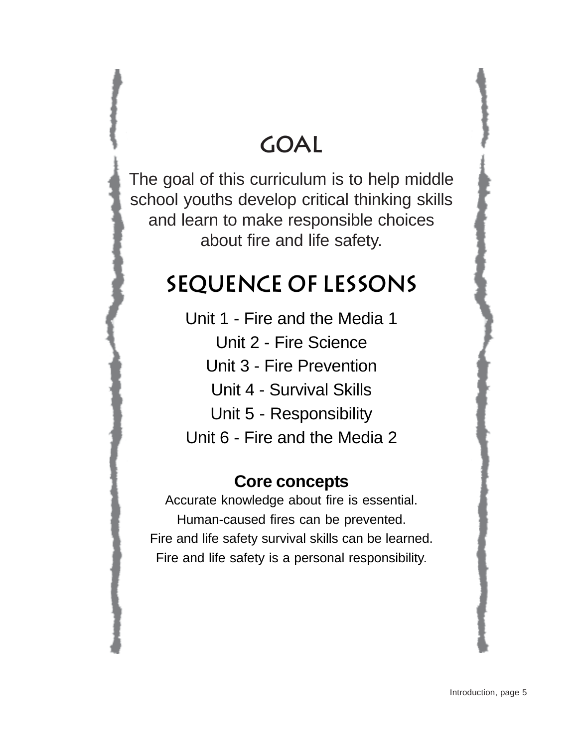# **GOAL**

The goal of this curriculum is to help middle school youths develop critical thinking skills and learn to make responsible choices about fire and life safety.

# **Sequence of lessons**

Unit 1 - Fire and the Media 1 Unit 2 - Fire Science Unit 3 - Fire Prevention Unit 4 - Survival Skills Unit 5 - Responsibility Unit 6 - Fire and the Media 2

### **Core concepts**

Accurate knowledge about fire is essential. Human-caused fires can be prevented. Fire and life safety survival skills can be learned. Fire and life safety is a personal responsibility.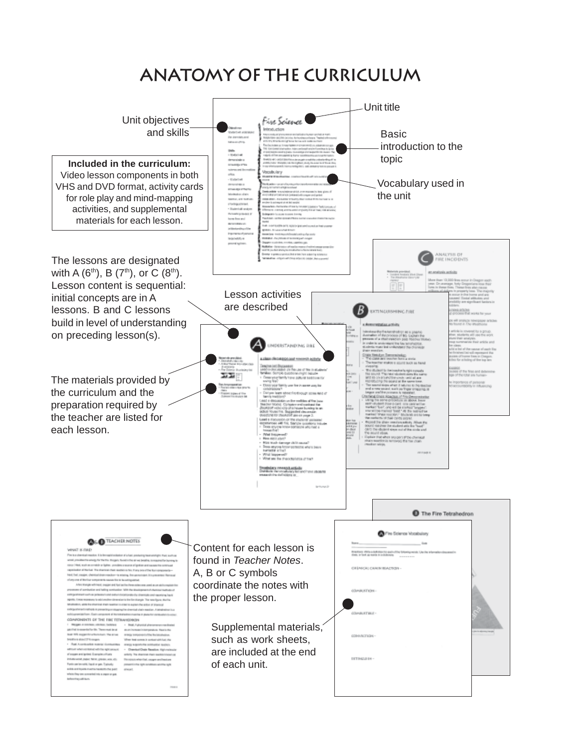### **Anatomy of the Curriculum**

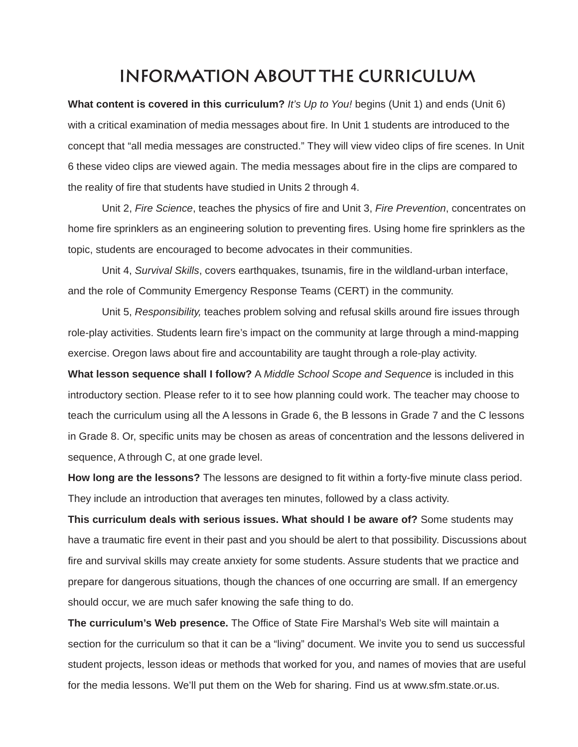### **information about the curriculum**

**What content is covered in this curriculum?** *It's Up to You!* begins (Unit 1) and ends (Unit 6) with a critical examination of media messages about fire. In Unit 1 students are introduced to the concept that "all media messages are constructed." They will view video clips of fire scenes. In Unit 6 these video clips are viewed again. The media messages about fire in the clips are compared to the reality of fire that students have studied in Units 2 through 4.

Unit 2, *Fire Science*, teaches the physics of fire and Unit 3, *Fire Prevention*, concentrates on home fire sprinklers as an engineering solution to preventing fires. Using home fire sprinklers as the topic, students are encouraged to become advocates in their communities.

Unit 4, *Survival Skills*, covers earthquakes, tsunamis, fire in the wildland-urban interface, and the role of Community Emergency Response Teams (CERT) in the community.

Unit 5, *Responsibility,* teaches problem solving and refusal skills around fire issues through role-play activities. Students learn fire's impact on the community at large through a mind-mapping exercise. Oregon laws about fire and accountability are taught through a role-play activity.

**What lesson sequence shall I follow?** A *Middle School Scope and Sequence* is included in this introductory section. Please refer to it to see how planning could work. The teacher may choose to teach the curriculum using all the A lessons in Grade 6, the B lessons in Grade 7 and the C lessons in Grade 8. Or, specific units may be chosen as areas of concentration and the lessons delivered in sequence, A through C, at one grade level.

**How long are the lessons?** The lessons are designed to fit within a forty-five minute class period. They include an introduction that averages ten minutes, followed by a class activity.

**This curriculum deals with serious issues. What should I be aware of?** Some students may have a traumatic fire event in their past and you should be alert to that possibility. Discussions about fire and survival skills may create anxiety for some students. Assure students that we practice and prepare for dangerous situations, though the chances of one occurring are small. If an emergency should occur, we are much safer knowing the safe thing to do.

**The curriculum's Web presence.** The Office of State Fire Marshal's Web site will maintain a section for the curriculum so that it can be a "living" document. We invite you to send us successful student projects, lesson ideas or methods that worked for you, and names of movies that are useful for the media lessons. We'll put them on the Web for sharing. Find us at www.sfm.state.or.us.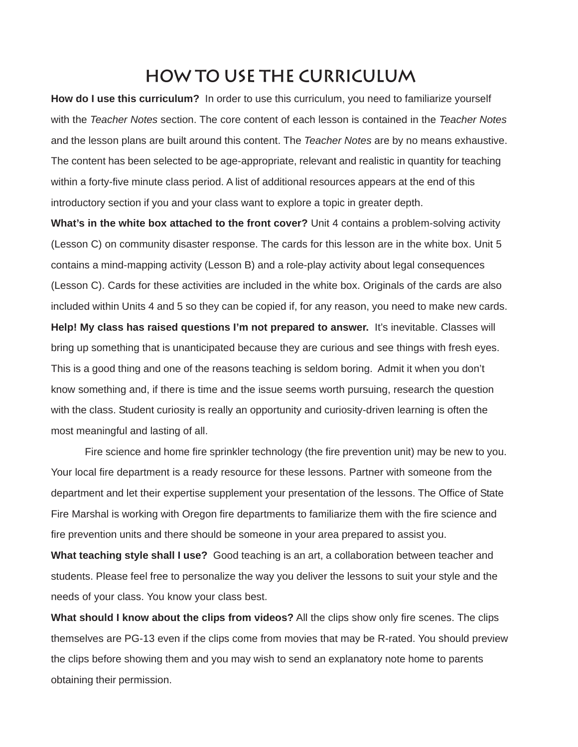### **How to use the curriculum**

**How do I use this curriculum?** In order to use this curriculum, you need to familiarize yourself with the *Teacher Notes* section. The core content of each lesson is contained in the *Teacher Notes* and the lesson plans are built around this content. The *Teacher Notes* are by no means exhaustive. The content has been selected to be age-appropriate, relevant and realistic in quantity for teaching within a forty-five minute class period. A list of additional resources appears at the end of this introductory section if you and your class want to explore a topic in greater depth.

**What's in the white box attached to the front cover?** Unit 4 contains a problem-solving activity (Lesson C) on community disaster response. The cards for this lesson are in the white box. Unit 5 contains a mind-mapping activity (Lesson B) and a role-play activity about legal consequences (Lesson C). Cards for these activities are included in the white box. Originals of the cards are also included within Units 4 and 5 so they can be copied if, for any reason, you need to make new cards. **Help! My class has raised questions I'm not prepared to answer.** It's inevitable. Classes will bring up something that is unanticipated because they are curious and see things with fresh eyes. This is a good thing and one of the reasons teaching is seldom boring. Admit it when you don't know something and, if there is time and the issue seems worth pursuing, research the question with the class. Student curiosity is really an opportunity and curiosity-driven learning is often the most meaningful and lasting of all.

Fire science and home fire sprinkler technology (the fire prevention unit) may be new to you. Your local fire department is a ready resource for these lessons. Partner with someone from the department and let their expertise supplement your presentation of the lessons. The Office of State Fire Marshal is working with Oregon fire departments to familiarize them with the fire science and fire prevention units and there should be someone in your area prepared to assist you.

**What teaching style shall I use?** Good teaching is an art, a collaboration between teacher and students. Please feel free to personalize the way you deliver the lessons to suit your style and the needs of your class. You know your class best.

**What should I know about the clips from videos?** All the clips show only fire scenes. The clips themselves are PG-13 even if the clips come from movies that may be R-rated. You should preview the clips before showing them and you may wish to send an explanatory note home to parents obtaining their permission.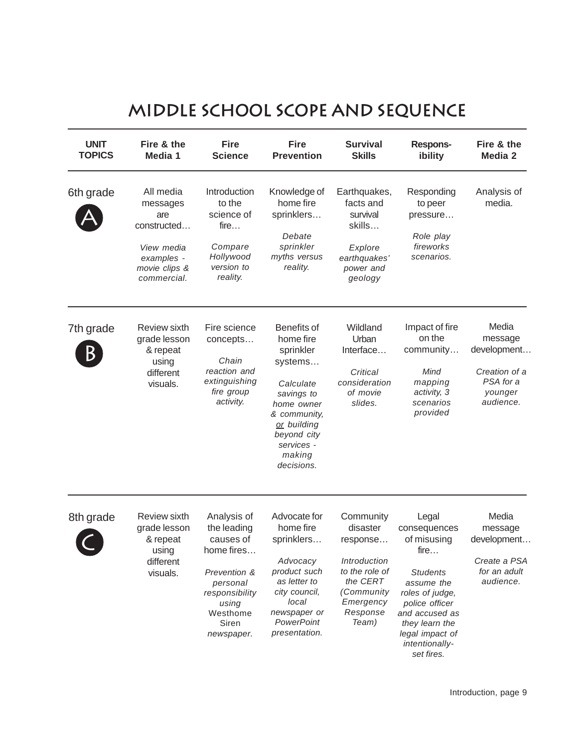### **Middle School Scope and Sequence**

| <b>UNIT</b><br><b>TOPICS</b> | Fire & the<br>Media 1                                                                                   | <b>Fire</b><br><b>Science</b>                                                                                                                   | <b>Fire</b><br><b>Prevention</b>                                                                                                                                              | <b>Survival</b><br><b>Skills</b>                                                                                                | <b>Respons-</b><br>ibility                                                                                                                                                                                | Fire & the<br>Media 2                                                                 |
|------------------------------|---------------------------------------------------------------------------------------------------------|-------------------------------------------------------------------------------------------------------------------------------------------------|-------------------------------------------------------------------------------------------------------------------------------------------------------------------------------|---------------------------------------------------------------------------------------------------------------------------------|-----------------------------------------------------------------------------------------------------------------------------------------------------------------------------------------------------------|---------------------------------------------------------------------------------------|
| 6th grade                    | All media<br>messages<br>are<br>constructed<br>View media<br>examples -<br>movie clips &<br>commercial. | Introduction<br>to the<br>science of<br>fire<br>Compare<br>Hollywood<br>version to<br>reality.                                                  | Knowledge of<br>home fire<br>sprinklers<br>Debate<br>sprinkler<br>myths versus<br>reality.                                                                                    | Earthquakes,<br>facts and<br>survival<br>skills<br>Explore<br>earthquakes'<br>power and<br>geology                              | Responding<br>to peer<br>pressure<br>Role play<br>fireworks<br>scenarios.                                                                                                                                 | Analysis of<br>media.                                                                 |
| 7th grade<br>B               | <b>Review sixth</b><br>grade lesson<br>& repeat<br>using<br>different<br>visuals.                       | Fire science<br>concepts<br>Chain<br>reaction and<br>extinguishing<br>fire group<br>activity.                                                   | Benefits of<br>home fire<br>sprinkler<br>systems<br>Calculate<br>savings to<br>home owner<br>& community,<br>or building<br>beyond city<br>services -<br>making<br>decisions. | Wildland<br>Urban<br>Interface<br>Critical<br>consideration<br>of movie<br>slides.                                              | Impact of fire<br>on the<br>community<br>Mind<br>mapping<br>activity, 3<br>scenarios<br>provided                                                                                                          | Media<br>message<br>development<br>Creation of a<br>PSA for a<br>younger<br>audience. |
| 8th grade                    | Review sixth<br>grade lesson<br>& repeat<br>using<br>different<br>visuals.                              | Analysis of<br>the leading<br>causes of<br>home fires<br>Prevention &<br>personal<br>responsibility<br>using<br>Westhome<br>Siren<br>newspaper. | Advocate for<br>home fire<br>sprinklers<br>Advocacy<br>product such<br>as letter to<br>city council.<br>local<br>newspaper or<br>PowerPoint<br>presentation.                  | Community<br>disaster<br>response<br>Introduction<br>to the role of<br>the CERT<br>(Community<br>Emergency<br>Response<br>Team) | Legal<br>consequences<br>of misusing<br>fire<br><b>Students</b><br>assume the<br>roles of judge,<br>police officer<br>and accused as<br>they learn the<br>legal impact of<br>intentionally-<br>set fires. | Media<br>message<br>development<br>Create a PSA<br>for an adult<br>audience.          |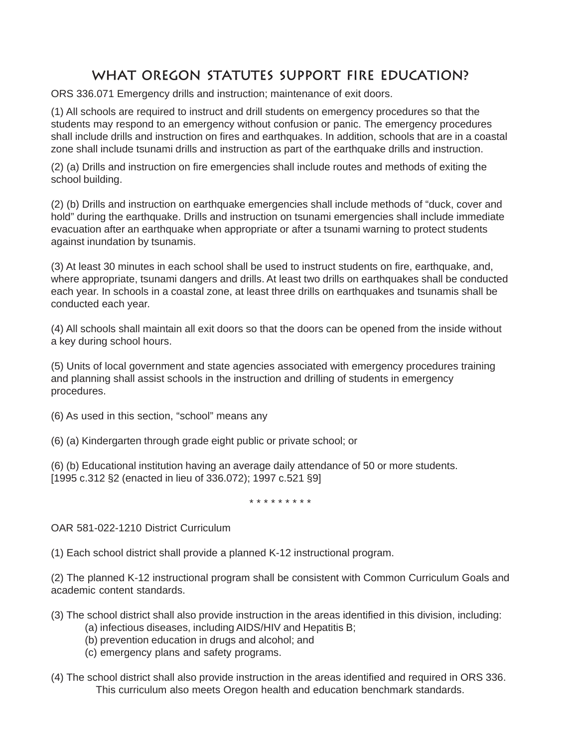### **What Oregon statutes support fire education?**

ORS 336.071 Emergency drills and instruction; maintenance of exit doors.

(1) All schools are required to instruct and drill students on emergency procedures so that the students may respond to an emergency without confusion or panic. The emergency procedures shall include drills and instruction on fires and earthquakes. In addition, schools that are in a coastal zone shall include tsunami drills and instruction as part of the earthquake drills and instruction.

(2) (a) Drills and instruction on fire emergencies shall include routes and methods of exiting the school building.

(2) (b) Drills and instruction on earthquake emergencies shall include methods of "duck, cover and hold" during the earthquake. Drills and instruction on tsunami emergencies shall include immediate evacuation after an earthquake when appropriate or after a tsunami warning to protect students against inundation by tsunamis.

(3) At least 30 minutes in each school shall be used to instruct students on fire, earthquake, and, where appropriate, tsunami dangers and drills. At least two drills on earthquakes shall be conducted each year. In schools in a coastal zone, at least three drills on earthquakes and tsunamis shall be conducted each year.

(4) All schools shall maintain all exit doors so that the doors can be opened from the inside without a key during school hours.

(5) Units of local government and state agencies associated with emergency procedures training and planning shall assist schools in the instruction and drilling of students in emergency procedures.

(6) As used in this section, "school" means any

(6) (a) Kindergarten through grade eight public or private school; or

(6) (b) Educational institution having an average daily attendance of 50 or more students. [1995 c.312 §2 (enacted in lieu of 336.072); 1997 c.521 §9]

\* \* \* \* \* \* \* \* \*

OAR 581-022-1210 District Curriculum

(1) Each school district shall provide a planned K-12 instructional program.

(2) The planned K-12 instructional program shall be consistent with Common Curriculum Goals and academic content standards.

- (3) The school district shall also provide instruction in the areas identified in this division, including:
	- (a) infectious diseases, including AIDS/HIV and Hepatitis B;
	- (b) prevention education in drugs and alcohol; and
	- (c) emergency plans and safety programs.
- (4) The school district shall also provide instruction in the areas identified and required in ORS 336. This curriculum also meets Oregon health and education benchmark standards.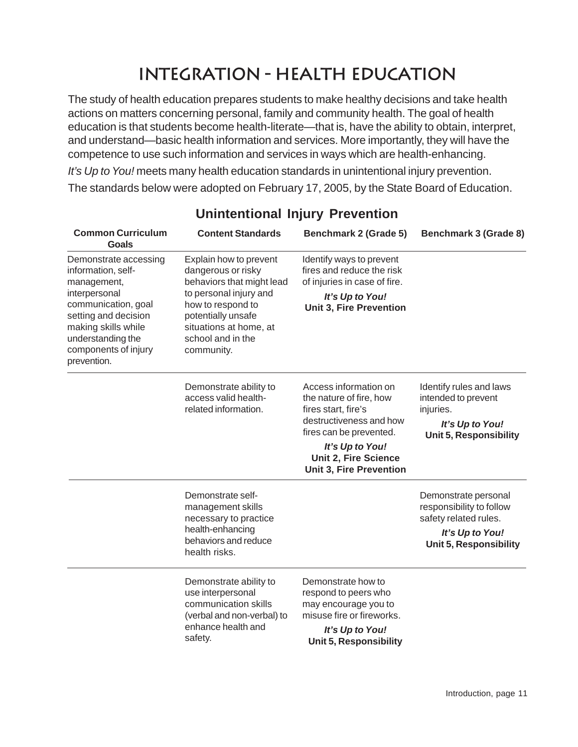### **Integration - Health education**

The study of health education prepares students to make healthy decisions and take health actions on matters concerning personal, family and community health. The goal of health education is that students become health-literate—that is, have the ability to obtain, interpret, and understand—basic health information and services. More importantly, they will have the competence to use such information and services in ways which are health-enhancing.

*It's Up to You!* meets many health education standards in unintentional injury prevention. The standards below were adopted on February 17, 2005, by the State Board of Education.

| <b>Common Curriculum</b><br><b>Goals</b>                                                                                                                                                                      | <b>Content Standards</b>                                                                                                                                                                                    | <b>Benchmark 2 (Grade 5)</b>                                                                                                                                                                                      | <b>Benchmark 3 (Grade 8)</b>                                                                                                  |
|---------------------------------------------------------------------------------------------------------------------------------------------------------------------------------------------------------------|-------------------------------------------------------------------------------------------------------------------------------------------------------------------------------------------------------------|-------------------------------------------------------------------------------------------------------------------------------------------------------------------------------------------------------------------|-------------------------------------------------------------------------------------------------------------------------------|
| Demonstrate accessing<br>information, self-<br>management,<br>interpersonal<br>communication, goal<br>setting and decision<br>making skills while<br>understanding the<br>components of injury<br>prevention. | Explain how to prevent<br>dangerous or risky<br>behaviors that might lead<br>to personal injury and<br>how to respond to<br>potentially unsafe<br>situations at home, at<br>school and in the<br>community. | Identify ways to prevent<br>fires and reduce the risk<br>of injuries in case of fire.<br>It's Up to You!<br><b>Unit 3, Fire Prevention</b>                                                                        |                                                                                                                               |
|                                                                                                                                                                                                               | Demonstrate ability to<br>access valid health-<br>related information.                                                                                                                                      | Access information on<br>the nature of fire, how<br>fires start, fire's<br>destructiveness and how<br>fires can be prevented.<br>It's Up to You!<br><b>Unit 2, Fire Science</b><br><b>Unit 3, Fire Prevention</b> | Identify rules and laws<br>intended to prevent<br>injuries.<br>It's Up to You!<br><b>Unit 5, Responsibility</b>               |
|                                                                                                                                                                                                               | Demonstrate self-<br>management skills<br>necessary to practice<br>health-enhancing<br>behaviors and reduce<br>health risks.                                                                                |                                                                                                                                                                                                                   | Demonstrate personal<br>responsibility to follow<br>safety related rules.<br>It's Up to You!<br><b>Unit 5, Responsibility</b> |
|                                                                                                                                                                                                               | Demonstrate ability to<br>use interpersonal<br>communication skills<br>(verbal and non-verbal) to<br>enhance health and<br>safety.                                                                          | Demonstrate how to<br>respond to peers who<br>may encourage you to<br>misuse fire or fireworks.<br>It's Up to You!<br><b>Unit 5, Responsibility</b>                                                               |                                                                                                                               |

### **Unintentional Injury Prevention**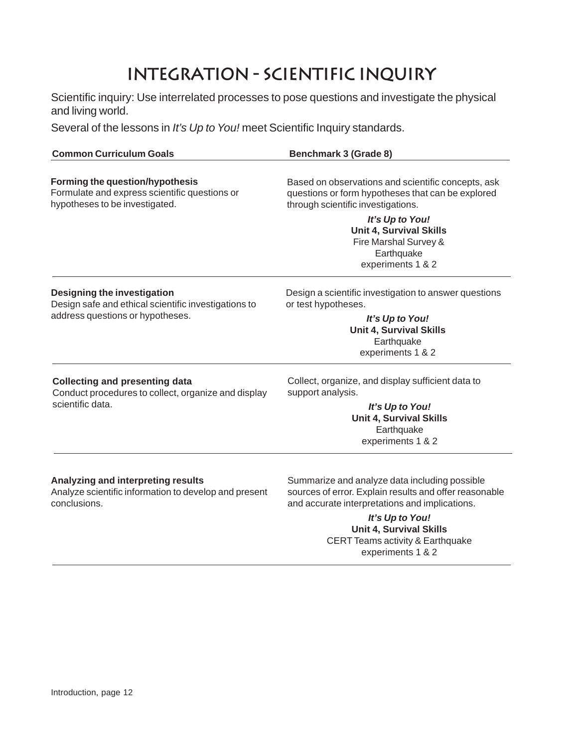### **Integration - Scientific Inquiry**

Scientific inquiry: Use interrelated processes to pose questions and investigate the physical and living world.

Several of the lessons in *It's Up to You!* meet Scientific Inquiry standards.

| <b>Common Curriculum Goals</b>                                                                                            | <b>Benchmark 3 (Grade 8)</b>                                                                                                                  |  |  |
|---------------------------------------------------------------------------------------------------------------------------|-----------------------------------------------------------------------------------------------------------------------------------------------|--|--|
| <b>Forming the question/hypothesis</b><br>Formulate and express scientific questions or<br>hypotheses to be investigated. | Based on observations and scientific concepts, ask<br>questions or form hypotheses that can be explored<br>through scientific investigations. |  |  |
|                                                                                                                           | It's Up to You!<br><b>Unit 4, Survival Skills</b><br>Fire Marshal Survey &<br>Earthquake<br>experiments 1 & 2                                 |  |  |
| Designing the investigation<br>Design safe and ethical scientific investigations to                                       | Design a scientific investigation to answer questions<br>or test hypotheses.                                                                  |  |  |
| address questions or hypotheses.                                                                                          | It's Up to You!<br><b>Unit 4, Survival Skills</b><br>Earthquake<br>experiments 1 & 2                                                          |  |  |
| <b>Collecting and presenting data</b><br>Conduct procedures to collect, organize and display                              | Collect, organize, and display sufficient data to<br>support analysis.                                                                        |  |  |
| scientific data.                                                                                                          | It's Up to You!<br><b>Unit 4, Survival Skills</b><br>Earthquake<br>experiments 1 & 2                                                          |  |  |
| Analyzing and interpreting results                                                                                        | Summarize and analyze data including possible                                                                                                 |  |  |

Analyze scientific information to develop and present conclusions.

Summarize and analyze data including possible sources of error. Explain results and offer reasonable and accurate interpretations and implications.

> *It's Up to You!* **Unit 4, Survival Skills** CERT Teams activity & Earthquake experiments 1 & 2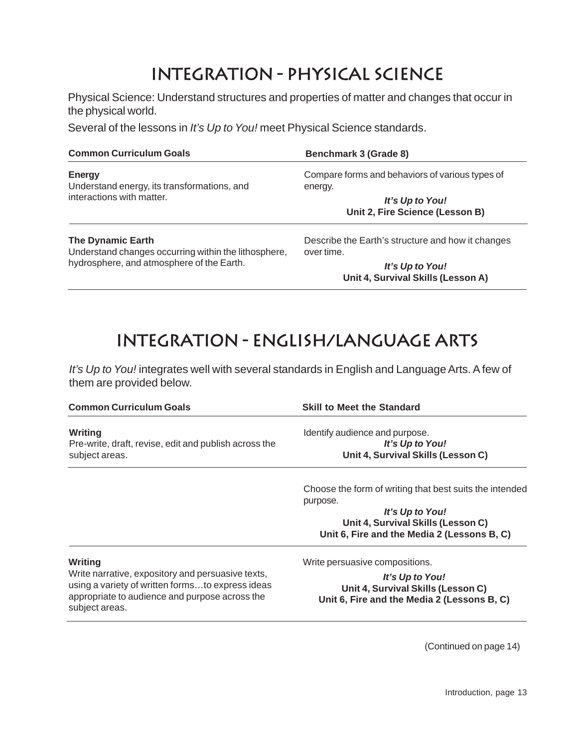### **Integration - Physical Science**

Physical Science: Understand structures and properties of matter and changes that occur in the physical world.

Several of the lessons in *It's Up to You!* meet Physical Science standards.

| <b>Common Curriculum Goals</b>                                                   | Benchmark 3 (Grade 8)                                           |  |
|----------------------------------------------------------------------------------|-----------------------------------------------------------------|--|
| <b>Energy</b><br>Understand energy, its transformations, and                     | Compare forms and behaviors of various types of<br>energy.      |  |
| interactions with matter.                                                        | It's Up to You!<br>Unit 2, Fire Science (Lesson B)              |  |
| <b>The Dynamic Earth</b><br>Understand changes occurring within the lithosphere, | Describe the Earth's structure and how it changes<br>over time. |  |
| hydrosphere, and atmosphere of the Earth.                                        | It's Up to You!                                                 |  |

**Unit 4, Survival Skills (Lesson A)**

### **Integration - English/Language Arts**

*It's Up to You!* integrates well with several standards in English and Language Arts. A few of them are provided below.

| <b>Common Curriculum Goals</b>                        | <b>Skill to Meet the Standard</b>                       |  |  |
|-------------------------------------------------------|---------------------------------------------------------|--|--|
| Writing                                               | Identify audience and purpose.                          |  |  |
| Pre-write, draft, revise, edit and publish across the | It's Up to You!                                         |  |  |
| subject areas.                                        | Unit 4, Survival Skills (Lesson C)                      |  |  |
|                                                       | Choose the form of writing that best suits the intended |  |  |
|                                                       | purpose.                                                |  |  |
|                                                       | It's Up to You!                                         |  |  |
|                                                       | Unit 4, Survival Skills (Lesson C)                      |  |  |
|                                                       | Unit 6, Fire and the Media 2 (Lessons B, C)             |  |  |
| Writing                                               | Write persuasive compositions.                          |  |  |
| Write narrative, expository and persuasive texts,     | It's Up to You!                                         |  |  |
| using a variety of written formsto express ideas      | Unit 4, Survival Skills (Lesson C)                      |  |  |
| appropriate to audience and purpose across the        | Unit 6, Fire and the Media 2 (Lessons B, C)             |  |  |

subject areas.

(Continued on page 14)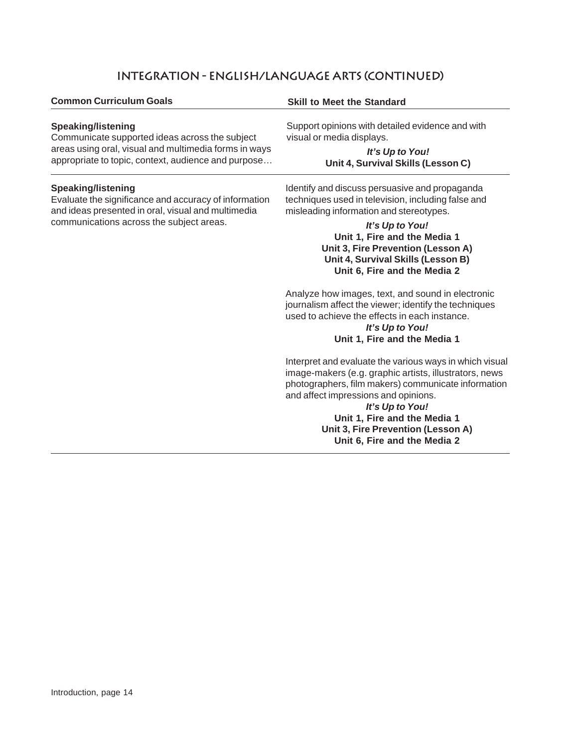#### **Integration - English/Language Arts (continued)**

#### **Common Curriculum Goals Skill to Meet the Standard**

#### **Speaking/listening**

Communicate supported ideas across the subject areas using oral, visual and multimedia forms in ways appropriate to topic, context, audience and purpose…

#### **Speaking/listening**

Evaluate the significance and accuracy of information and ideas presented in oral, visual and multimedia communications across the subject areas.

Support opinions with detailed evidence and with visual or media displays.

> *It's Up to You!* **Unit 4, Survival Skills (Lesson C)**

Identify and discuss persuasive and propaganda techniques used in television, including false and misleading information and stereotypes.

> *It's Up to You!* **Unit 1, Fire and the Media 1 Unit 3, Fire Prevention (Lesson A) Unit 4, Survival Skills (Lesson B) Unit 6, Fire and the Media 2**

Analyze how images, text, and sound in electronic journalism affect the viewer; identify the techniques used to achieve the effects in each instance.

#### *It's Up to You!* **Unit 1, Fire and the Media 1**

Interpret and evaluate the various ways in which visual image-makers (e.g. graphic artists, illustrators, news photographers, film makers) communicate information and affect impressions and opinions.

*It's Up to You!* **Unit 1, Fire and the Media 1 Unit 3, Fire Prevention (Lesson A) Unit 6, Fire and the Media 2**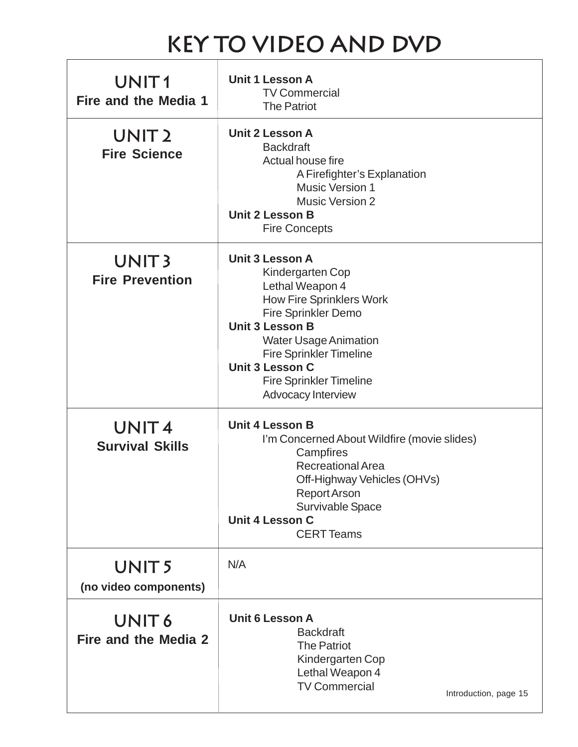# **Key to Video and DVD**

| UNIT <sub>1</sub><br>Fire and the Media 1   | Unit 1 Lesson A<br><b>TV Commercial</b><br><b>The Patriot</b>                                                                                                                                                                                                                                         |
|---------------------------------------------|-------------------------------------------------------------------------------------------------------------------------------------------------------------------------------------------------------------------------------------------------------------------------------------------------------|
| UNIT <sub>2</sub><br><b>Fire Science</b>    | Unit 2 Lesson A<br><b>Backdraft</b><br>Actual house fire<br>A Firefighter's Explanation<br><b>Music Version 1</b><br><b>Music Version 2</b><br>Unit 2 Lesson B<br><b>Fire Concepts</b>                                                                                                                |
| UNIT <sub>3</sub><br><b>Fire Prevention</b> | Unit 3 Lesson A<br>Kindergarten Cop<br>Lethal Weapon 4<br><b>How Fire Sprinklers Work</b><br><b>Fire Sprinkler Demo</b><br><b>Unit 3 Lesson B</b><br><b>Water Usage Animation</b><br><b>Fire Sprinkler Timeline</b><br><b>Unit 3 Lesson C</b><br><b>Fire Sprinkler Timeline</b><br>Advocacy Interview |
| UNIT <sub>4</sub><br><b>Survival Skills</b> | <b>Unit 4 Lesson B</b><br>I'm Concerned About Wildfire (movie slides)<br>Campfires<br><b>Recreational Area</b><br>Off-Highway Vehicles (OHVs)<br><b>Report Arson</b><br>Survivable Space<br><b>Unit 4 Lesson C</b><br><b>CERT Teams</b>                                                               |
| UNIT <sub>5</sub><br>(no video components)  | N/A                                                                                                                                                                                                                                                                                                   |
| UNIT <sub>6</sub><br>Fire and the Media 2   | <b>Unit 6 Lesson A</b><br><b>Backdraft</b><br><b>The Patriot</b><br>Kindergarten Cop<br>Lethal Weapon 4<br><b>TV Commercial</b><br>Introduction, page 15                                                                                                                                              |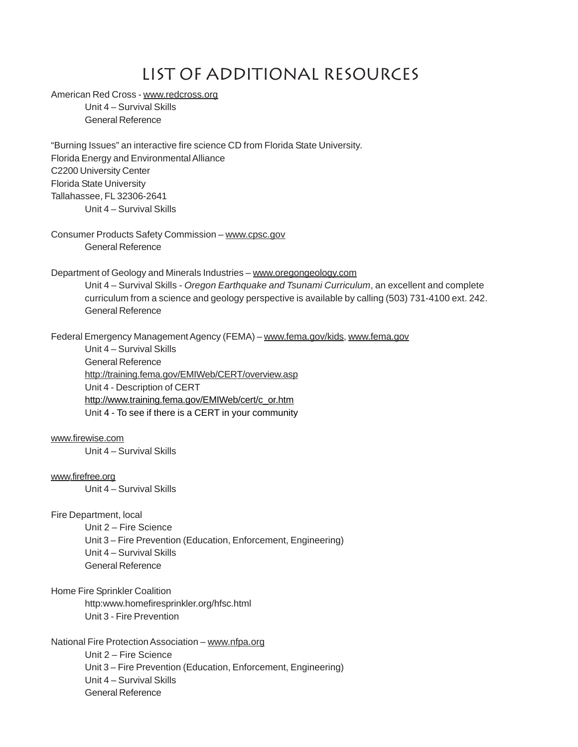### list of additional RESOURCEs

American Red Cross - www.redcross.org

Unit 4 – Survival Skills General Reference

"Burning Issues" an interactive fire science CD from Florida State University. Florida Energy and Environmental Alliance C2200 University Center Florida State University Tallahassee, FL 32306-2641 Unit 4 – Survival Skills

Consumer Products Safety Commission – www.cpsc.gov General Reference

Department of Geology and Minerals Industries – www.oregongeology.com

Unit 4 – Survival Skills - *Oregon Earthquake and Tsunami Curriculum*, an excellent and complete curriculum from a science and geology perspective is available by calling (503) 731-4100 ext. 242. General Reference

Federal Emergency Management Agency (FEMA) – www.fema.gov/kids, www.fema.gov

Unit 4 – Survival Skills General Reference http://training.fema.gov/EMIWeb/CERT/overview.asp Unit 4 - Description of CERT http://www.training.fema.gov/EMIWeb/cert/c\_or.htm Unit 4 - To see if there is a CERT in your community

#### www.firewise.com

Unit 4 – Survival Skills

#### www.firefree.org

Unit 4 – Survival Skills

#### Fire Department, local

Unit 2 – Fire Science Unit 3 – Fire Prevention (Education, Enforcement, Engineering) Unit 4 – Survival Skills General Reference

#### Home Fire Sprinkler Coalition

http:www.homefiresprinkler.org/hfsc.html Unit 3 - Fire Prevention

#### National Fire Protection Association – www.nfpa.org

Unit 2 – Fire Science Unit 3 – Fire Prevention (Education, Enforcement, Engineering) Unit 4 – Survival Skills General Reference